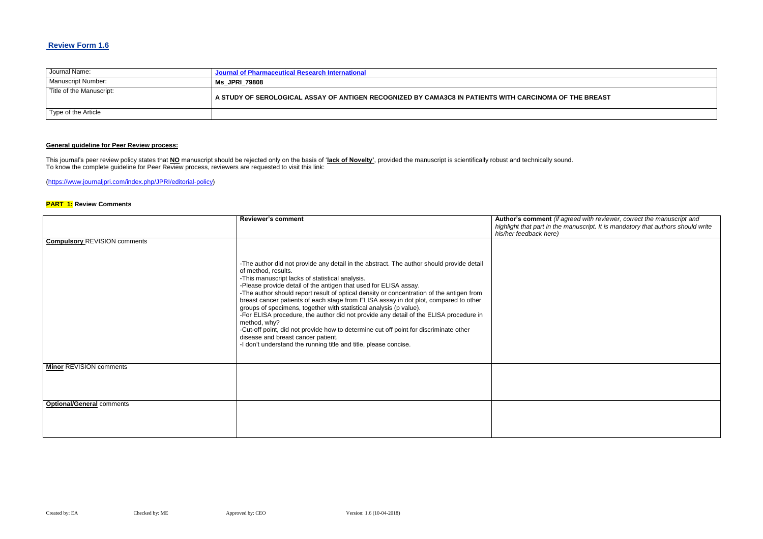## **Review Form 1.6**

| Journal Name:            | <b>Journal of Pharmaceutical Research International</b>                                                  |
|--------------------------|----------------------------------------------------------------------------------------------------------|
| Manuscript Number:       | <b>Ms JPRI 79808</b>                                                                                     |
| Title of the Manuscript: | A STUDY OF SEROLOGICAL ASSAY OF ANTIGEN RECOGNIZED BY CAMA3C8 IN PATIENTS WITH CARCINOMA OF THE BREAST \ |
| Type of the Article      |                                                                                                          |

# **General guideline for Peer Review process:**

**Red with reviewer, correct the manuscript and** *highlight that part in the manuscript. It is mandatory that authors should write* 

This journal's peer review policy states that **NO** manuscript should be rejected only on the basis of '**lack of Novelty'**, provided the manuscript is scientifically robust and technically sound. To know the complete guideline for Peer Review process, reviewers are requested to visit this link:

[\(https://www.journaljpri.com/index.php/JPRI/editorial-policy\)](https://www.journaljpri.com/index.php/JPRI/editorial-policy)

### **PART 1: Review Comments**

|                                     | <b>Reviewer's comment</b>                                                                                                                                                                                                                                                                                                                                                                                                                                                                                                                                                                                                                                                                                                                                                                                    | Author's comment (if agree<br>highlight that part in the mar<br>his/her feedback here) |
|-------------------------------------|--------------------------------------------------------------------------------------------------------------------------------------------------------------------------------------------------------------------------------------------------------------------------------------------------------------------------------------------------------------------------------------------------------------------------------------------------------------------------------------------------------------------------------------------------------------------------------------------------------------------------------------------------------------------------------------------------------------------------------------------------------------------------------------------------------------|----------------------------------------------------------------------------------------|
| <b>Compulsory REVISION comments</b> |                                                                                                                                                                                                                                                                                                                                                                                                                                                                                                                                                                                                                                                                                                                                                                                                              |                                                                                        |
|                                     | -The author did not provide any detail in the abstract. The author should provide detail<br>of method, results.<br>-This manuscript lacks of statistical analysis.<br>-Please provide detail of the antigen that used for ELISA assay.<br>-The author should report result of optical density or concentration of the antigen from<br>breast cancer patients of each stage from ELISA assay in dot plot, compared to other<br>groups of specimens, together with statistical analysis (p value).<br>-For ELISA procedure, the author did not provide any detail of the ELISA procedure in<br>method, why?<br>-Cut-off point, did not provide how to determine cut off point for discriminate other<br>disease and breast cancer patient.<br>-I don't understand the running title and title, please concise. |                                                                                        |
| <b>Minor REVISION comments</b>      |                                                                                                                                                                                                                                                                                                                                                                                                                                                                                                                                                                                                                                                                                                                                                                                                              |                                                                                        |
| <b>Optional/General comments</b>    |                                                                                                                                                                                                                                                                                                                                                                                                                                                                                                                                                                                                                                                                                                                                                                                                              |                                                                                        |
|                                     |                                                                                                                                                                                                                                                                                                                                                                                                                                                                                                                                                                                                                                                                                                                                                                                                              |                                                                                        |